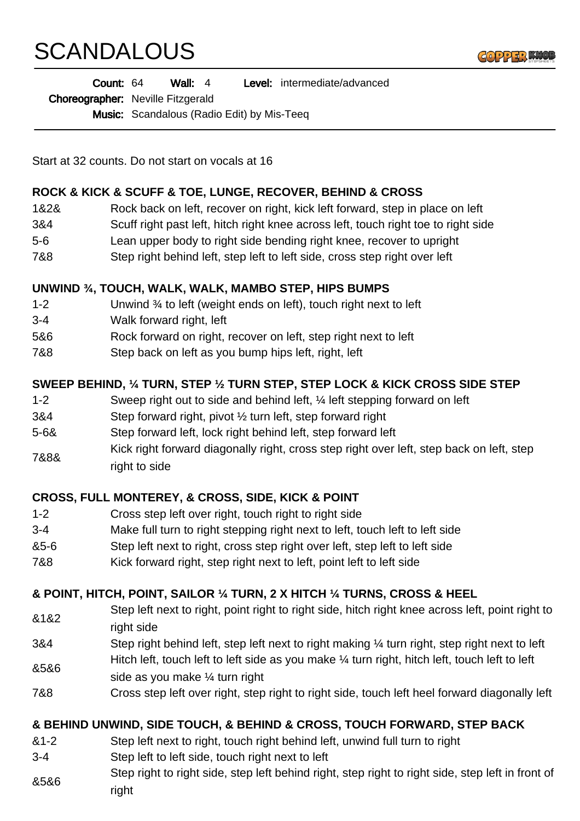# **SCANDALOUS**



| Count: 64<br>Wall: $4$ | <b>Level:</b> intermediate/advanced |
|------------------------|-------------------------------------|
|------------------------|-------------------------------------|

Choreographer: Neville Fitzgerald

Music: Scandalous (Radio Edit) by Mis-Teeq

Start at 32 counts. Do not start on vocals at 16

#### **ROCK & KICK & SCUFF & TOE, LUNGE, RECOVER, BEHIND & CROSS**

- 1&2& Rock back on left, recover on right, kick left forward, step in place on left
- 3&4 Scuff right past left, hitch right knee across left, touch right toe to right side
- 5-6 Lean upper body to right side bending right knee, recover to upright
- 7&8 Step right behind left, step left to left side, cross step right over left

#### **UNWIND ¾, TOUCH, WALK, WALK, MAMBO STEP, HIPS BUMPS**

- 1-2 Unwind ¾ to left (weight ends on left), touch right next to left
- 3-4 Walk forward right, left
- 5&6 Rock forward on right, recover on left, step right next to left
- 7&8 Step back on left as you bump hips left, right, left

## **SWEEP BEHIND, ¼ TURN, STEP ½ TURN STEP, STEP LOCK & KICK CROSS SIDE STEP**

- 1-2 Sweep right out to side and behind left, ¼ left stepping forward on left
- 3&4 Step forward right, pivot ½ turn left, step forward right
- 5-6& Step forward left, lock right behind left, step forward left
- 7&8& Kick right forward diagonally right, cross step right over left, step back on left, step right to side

#### **CROSS, FULL MONTEREY, & CROSS, SIDE, KICK & POINT**

- 1-2 Cross step left over right, touch right to right side
- 3-4 Make full turn to right stepping right next to left, touch left to left side
- &5-6 Step left next to right, cross step right over left, step left to left side
- 7&8 Kick forward right, step right next to left, point left to left side

## **& POINT, HITCH, POINT, SAILOR ¼ TURN, 2 X HITCH ¼ TURNS, CROSS & HEEL**

- &1&2 Step left next to right, point right to right side, hitch right knee across left, point right to right side
- 3&4 Step right behind left, step left next to right making ¼ turn right, step right next to left Hitch left, touch left to left side as you make  $\frac{1}{4}$  turn right, hitch left, touch left to left
- &5&6 side as you make ¼ turn right
- 7&8 Cross step left over right, step right to right side, touch left heel forward diagonally left

#### **& BEHIND UNWIND, SIDE TOUCH, & BEHIND & CROSS, TOUCH FORWARD, STEP BACK**

- &1-2 Step left next to right, touch right behind left, unwind full turn to right
- 3-4 Step left to left side, touch right next to left
- &5&6 Step right to right side, step left behind right, step right to right side, step left in front of right